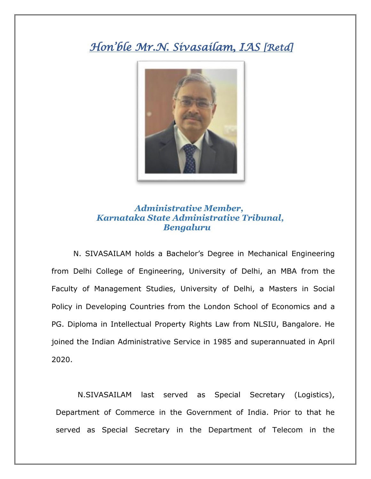## *Hon'ble Mr.N. Sivasailam, IAS [Retd]*



## *Administrative Member, Karnataka State Administrative Tribunal, Bengaluru*

N. SIVASAILAM holds a Bachelor's Degree in Mechanical Engineering from Delhi College of Engineering, University of Delhi, an MBA from the Faculty of Management Studies, University of Delhi, a Masters in Social Policy in Developing Countries from the London School of Economics and a PG. Diploma in Intellectual Property Rights Law from NLSIU, Bangalore. He joined the Indian Administrative Service in 1985 and superannuated in April 2020.

N.SIVASAILAM last served as Special Secretary (Logistics), Department of Commerce in the Government of India. Prior to that he served as Special Secretary in the Department of Telecom in the